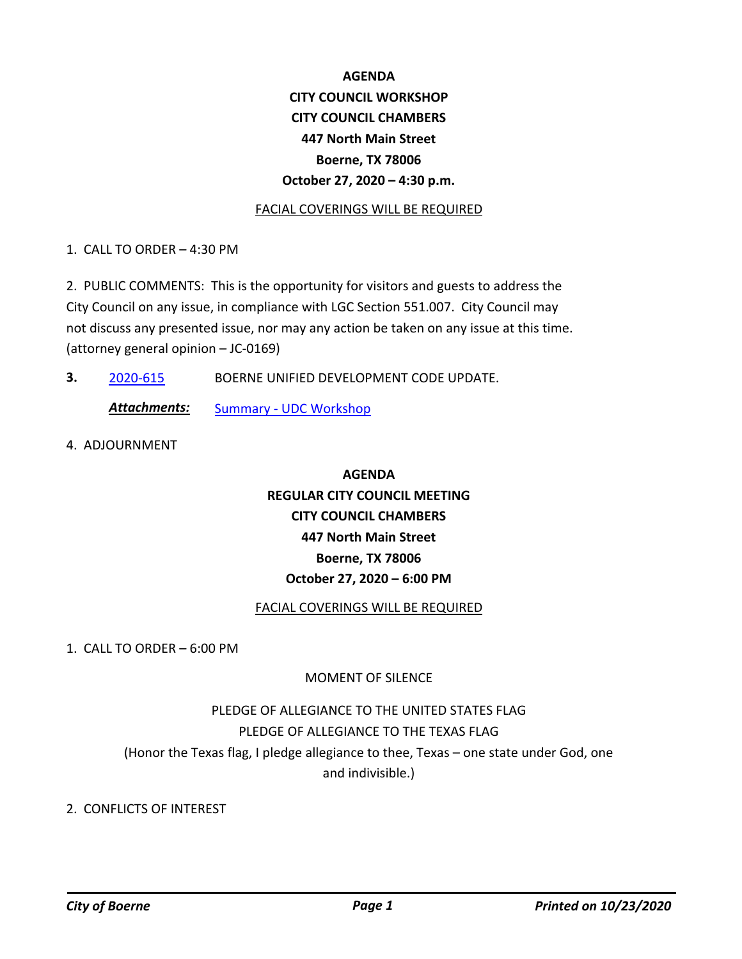# **AGENDA CITY COUNCIL WORKSHOP CITY COUNCIL CHAMBERS 447 North Main Street Boerne, TX 78006 October 27, 2020 – 4:30 p.m.**

### FACIAL COVERINGS WILL BE REQUIRED

1. CALL TO ORDER – 4:30 PM

2. PUBLIC COMMENTS: This is the opportunity for visitors and guests to address the City Council on any issue, in compliance with LGC Section 551.007. City Council may not discuss any presented issue, nor may any action be taken on any issue at this time. (attorney general opinion – JC-0169)

**3.** [2020-615](http://boerne.legistar.com/gateway.aspx?m=l&id=/matter.aspx?key=5534) BOERNE UNIFIED DEVELOPMENT CODE UPDATE.

**Attachments:** [Summary - UDC Workshop](http://boerne.legistar.com/gateway.aspx?M=F&ID=d2d1cf47-7463-4a53-9766-d24459ed0d94.docx)

4. ADJOURNMENT

# **AGENDA REGULAR CITY COUNCIL MEETING CITY COUNCIL CHAMBERS 447 North Main Street Boerne, TX 78006 October 27, 2020 – 6:00 PM**

### FACIAL COVERINGS WILL BE REQUIRED

1. CALL TO ORDER – 6:00 PM

### MOMENT OF SILENCE

# PLEDGE OF ALLEGIANCE TO THE UNITED STATES FLAG PLEDGE OF ALLEGIANCE TO THE TEXAS FLAG (Honor the Texas flag, I pledge allegiance to thee, Texas – one state under God, one and indivisible.)

### 2. CONFLICTS OF INTEREST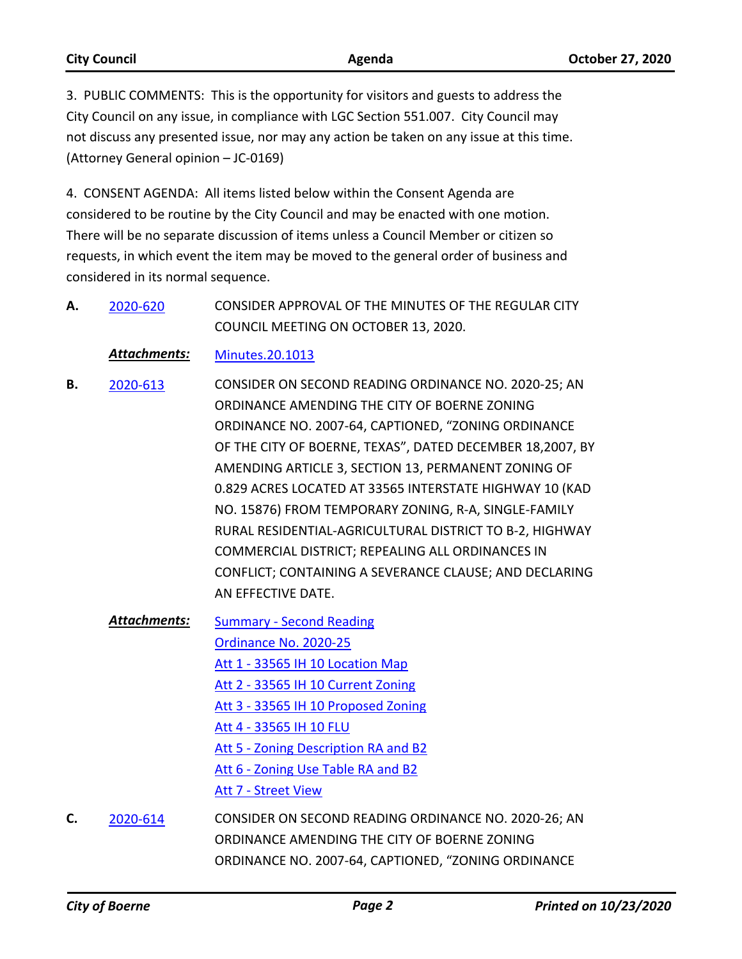| <b>City Council</b> | Agenda | <b>October 27, 2020</b> |
|---------------------|--------|-------------------------|

3. PUBLIC COMMENTS: This is the opportunity for visitors and guests to address the City Council on any issue, in compliance with LGC Section 551.007. City Council may not discuss any presented issue, nor may any action be taken on any issue at this time. (Attorney General opinion – JC-0169)

4. CONSENT AGENDA: All items listed below within the Consent Agenda are considered to be routine by the City Council and may be enacted with one motion. There will be no separate discussion of items unless a Council Member or citizen so requests, in which event the item may be moved to the general order of business and considered in its normal sequence.

CONSIDER APPROVAL OF THE MINUTES OF THE REGULAR CITY COUNCIL MEETING ON OCTOBER 13, 2020. **A.** [2020-620](http://boerne.legistar.com/gateway.aspx?m=l&id=/matter.aspx?key=5539)

*Attachments:* [Minutes.20.1013](http://boerne.legistar.com/gateway.aspx?M=F&ID=4cbd3070-282b-49dc-b663-20ebf5fa4ce4.pdf)

- CONSIDER ON SECOND READING ORDINANCE NO. 2020-25; AN ORDINANCE AMENDING THE CITY OF BOERNE ZONING ORDINANCE NO. 2007-64, CAPTIONED, "ZONING ORDINANCE OF THE CITY OF BOERNE, TEXAS", DATED DECEMBER 18,2007, BY AMENDING ARTICLE 3, SECTION 13, PERMANENT ZONING OF 0.829 ACRES LOCATED AT 33565 INTERSTATE HIGHWAY 10 (KAD NO. 15876) FROM TEMPORARY ZONING, R-A, SINGLE-FAMILY RURAL RESIDENTIAL-AGRICULTURAL DISTRICT TO B-2, HIGHWAY COMMERCIAL DISTRICT; REPEALING ALL ORDINANCES IN CONFLICT; CONTAINING A SEVERANCE CLAUSE; AND DECLARING AN EFFECTIVE DATE. **B.** [2020-613](http://boerne.legistar.com/gateway.aspx?m=l&id=/matter.aspx?key=5532)
	- [Summary Second Reading](http://boerne.legistar.com/gateway.aspx?M=F&ID=3f48f815-ea86-4cb2-8d32-83add8d49558.docx) [Ordinance No. 2020-25](http://boerne.legistar.com/gateway.aspx?M=F&ID=59128ef7-fa8b-46c5-9afe-78fb0fe2c7c1.docx) [Att 1 - 33565 IH 10 Location Map](http://boerne.legistar.com/gateway.aspx?M=F&ID=9f293308-dcb5-4561-ad42-792eaa75e195.pdf) [Att 2 - 33565 IH 10 Current Zoning](http://boerne.legistar.com/gateway.aspx?M=F&ID=740888e7-bdb3-4437-894d-b76c4d5b4f98.pdf) [Att 3 - 33565 IH 10 Proposed Zoning](http://boerne.legistar.com/gateway.aspx?M=F&ID=e71887b8-6cac-4dce-b0e7-e6394924ba41.pdf) [Att 4 - 33565 IH 10 FLU](http://boerne.legistar.com/gateway.aspx?M=F&ID=d7dfb895-2bfa-4bfa-b0c6-ac8c07ae02b7.pdf) [Att 5 - Zoning Description RA and B2](http://boerne.legistar.com/gateway.aspx?M=F&ID=29e763b4-ad22-4bb7-b9d4-d3f3dae8aed0.pdf) [Att 6 - Zoning Use Table RA and B2](http://boerne.legistar.com/gateway.aspx?M=F&ID=a21abe59-a69a-48d7-9528-4ee594cc97da.pdf) [Att 7 - Street View](http://boerne.legistar.com/gateway.aspx?M=F&ID=6539a855-d9c4-4b03-adfa-20a837cc3b50.jpg) *Attachments:*
- CONSIDER ON SECOND READING ORDINANCE NO. 2020-26; AN ORDINANCE AMENDING THE CITY OF BOERNE ZONING ORDINANCE NO. 2007-64, CAPTIONED, "ZONING ORDINANCE **C.** [2020-614](http://boerne.legistar.com/gateway.aspx?m=l&id=/matter.aspx?key=5533)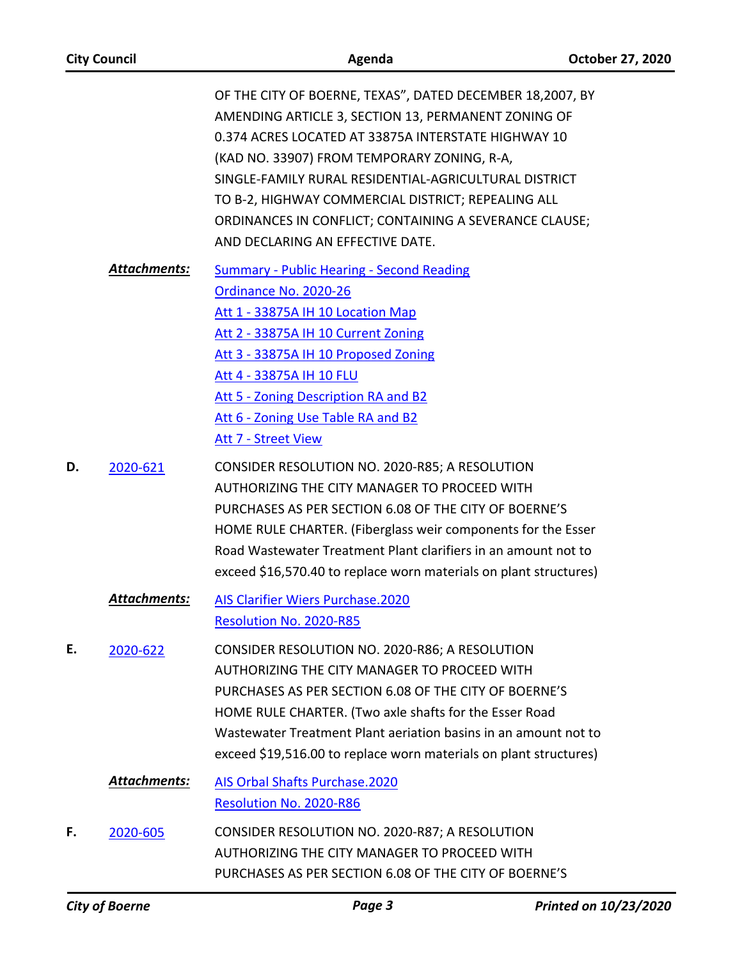| <b>City Council</b> |                     | Agenda                                                                                                                                                                                                                                                                                                                                                                                                                              | October 27, 2020 |
|---------------------|---------------------|-------------------------------------------------------------------------------------------------------------------------------------------------------------------------------------------------------------------------------------------------------------------------------------------------------------------------------------------------------------------------------------------------------------------------------------|------------------|
|                     |                     | OF THE CITY OF BOERNE, TEXAS", DATED DECEMBER 18,2007, BY<br>AMENDING ARTICLE 3, SECTION 13, PERMANENT ZONING OF<br>0.374 ACRES LOCATED AT 33875A INTERSTATE HIGHWAY 10<br>(KAD NO. 33907) FROM TEMPORARY ZONING, R-A,<br>SINGLE-FAMILY RURAL RESIDENTIAL-AGRICULTURAL DISTRICT<br>TO B-2, HIGHWAY COMMERCIAL DISTRICT; REPEALING ALL<br>ORDINANCES IN CONFLICT; CONTAINING A SEVERANCE CLAUSE;<br>AND DECLARING AN EFFECTIVE DATE. |                  |
|                     | Attachments:        | <b>Summary - Public Hearing - Second Reading</b><br>Ordinance No. 2020-26<br>Att 1 - 33875A IH 10 Location Map<br>Att 2 - 33875A IH 10 Current Zoning<br>Att 3 - 33875A IH 10 Proposed Zoning<br>Att 4 - 33875A IH 10 FLU<br>Att 5 - Zoning Description RA and B2<br>Att 6 - Zoning Use Table RA and B2<br><b>Att 7 - Street View</b>                                                                                               |                  |
| D.                  | 2020-621            | CONSIDER RESOLUTION NO. 2020-R85; A RESOLUTION<br>AUTHORIZING THE CITY MANAGER TO PROCEED WITH<br>PURCHASES AS PER SECTION 6.08 OF THE CITY OF BOERNE'S<br>HOME RULE CHARTER. (Fiberglass weir components for the Esser<br>Road Wastewater Treatment Plant clarifiers in an amount not to<br>exceed \$16,570.40 to replace worn materials on plant structures)                                                                      |                  |
|                     | Attachments:        | <b>AIS Clarifier Wiers Purchase.2020</b><br>Resolution No. 2020-R85                                                                                                                                                                                                                                                                                                                                                                 |                  |
| Ε.                  | 2020-622            | CONSIDER RESOLUTION NO. 2020-R86; A RESOLUTION<br>AUTHORIZING THE CITY MANAGER TO PROCEED WITH<br>PURCHASES AS PER SECTION 6.08 OF THE CITY OF BOERNE'S<br>HOME RULE CHARTER. (Two axle shafts for the Esser Road<br>Wastewater Treatment Plant aeriation basins in an amount not to<br>exceed \$19,516.00 to replace worn materials on plant structures)                                                                           |                  |
|                     | <b>Attachments:</b> | AIS Orbal Shafts Purchase.2020<br>Resolution No. 2020-R86                                                                                                                                                                                                                                                                                                                                                                           |                  |
| F.                  | 2020-605            | CONSIDER RESOLUTION NO. 2020-R87; A RESOLUTION<br>AUTHORIZING THE CITY MANAGER TO PROCEED WITH<br>PURCHASES AS PER SECTION 6.08 OF THE CITY OF BOERNE'S                                                                                                                                                                                                                                                                             |                  |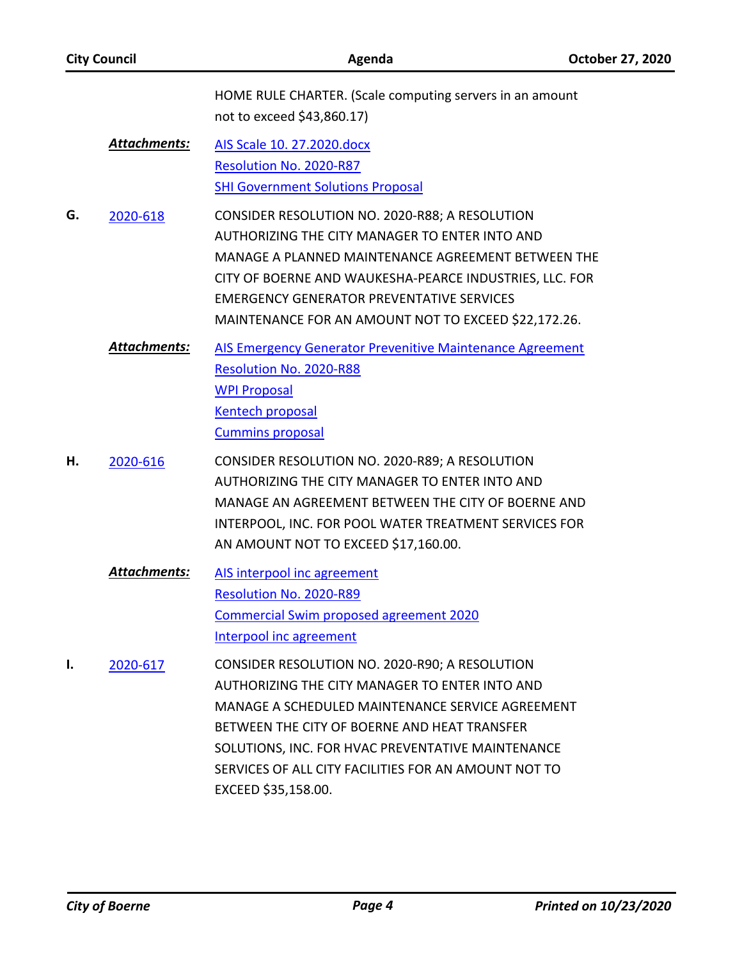| <b>City Council</b> |                     | Agenda                                                                                                                                                                                                                                                                                                                                   | October 27, 2020 |
|---------------------|---------------------|------------------------------------------------------------------------------------------------------------------------------------------------------------------------------------------------------------------------------------------------------------------------------------------------------------------------------------------|------------------|
|                     |                     | HOME RULE CHARTER. (Scale computing servers in an amount<br>not to exceed \$43,860.17)                                                                                                                                                                                                                                                   |                  |
|                     | <b>Attachments:</b> | AIS Scale 10. 27.2020.docx<br>Resolution No. 2020-R87<br><b>SHI Government Solutions Proposal</b>                                                                                                                                                                                                                                        |                  |
| G.                  | 2020-618            | CONSIDER RESOLUTION NO. 2020-R88; A RESOLUTION<br>AUTHORIZING THE CITY MANAGER TO ENTER INTO AND<br>MANAGE A PLANNED MAINTENANCE AGREEMENT BETWEEN THE<br>CITY OF BOERNE AND WAUKESHA-PEARCE INDUSTRIES, LLC. FOR<br><b>EMERGENCY GENERATOR PREVENTATIVE SERVICES</b><br>MAINTENANCE FOR AN AMOUNT NOT TO EXCEED \$22,172.26.            |                  |
|                     | <b>Attachments:</b> | AIS Emergency Generator Prevenitive Maintenance Agreement<br>Resolution No. 2020-R88<br><b>WPI Proposal</b><br><b>Kentech proposal</b><br><b>Cummins proposal</b>                                                                                                                                                                        |                  |
| Н.                  | 2020-616            | CONSIDER RESOLUTION NO. 2020-R89; A RESOLUTION<br>AUTHORIZING THE CITY MANAGER TO ENTER INTO AND<br>MANAGE AN AGREEMENT BETWEEN THE CITY OF BOERNE AND<br>INTERPOOL, INC. FOR POOL WATER TREATMENT SERVICES FOR<br>AN AMOUNT NOT TO EXCEED \$17,160.00.                                                                                  |                  |
|                     | Attachments:        | AIS interpool inc agreement<br>Resolution No. 2020-R89<br><b>Commercial Swim proposed agreement 2020</b><br>Interpool inc agreement                                                                                                                                                                                                      |                  |
| Ι.                  | 2020-617            | CONSIDER RESOLUTION NO. 2020-R90; A RESOLUTION<br>AUTHORIZING THE CITY MANAGER TO ENTER INTO AND<br>MANAGE A SCHEDULED MAINTENANCE SERVICE AGREEMENT<br>BETWEEN THE CITY OF BOERNE AND HEAT TRANSFER<br>SOLUTIONS, INC. FOR HVAC PREVENTATIVE MAINTENANCE<br>SERVICES OF ALL CITY FACILITIES FOR AN AMOUNT NOT TO<br>EXCEED \$35,158.00. |                  |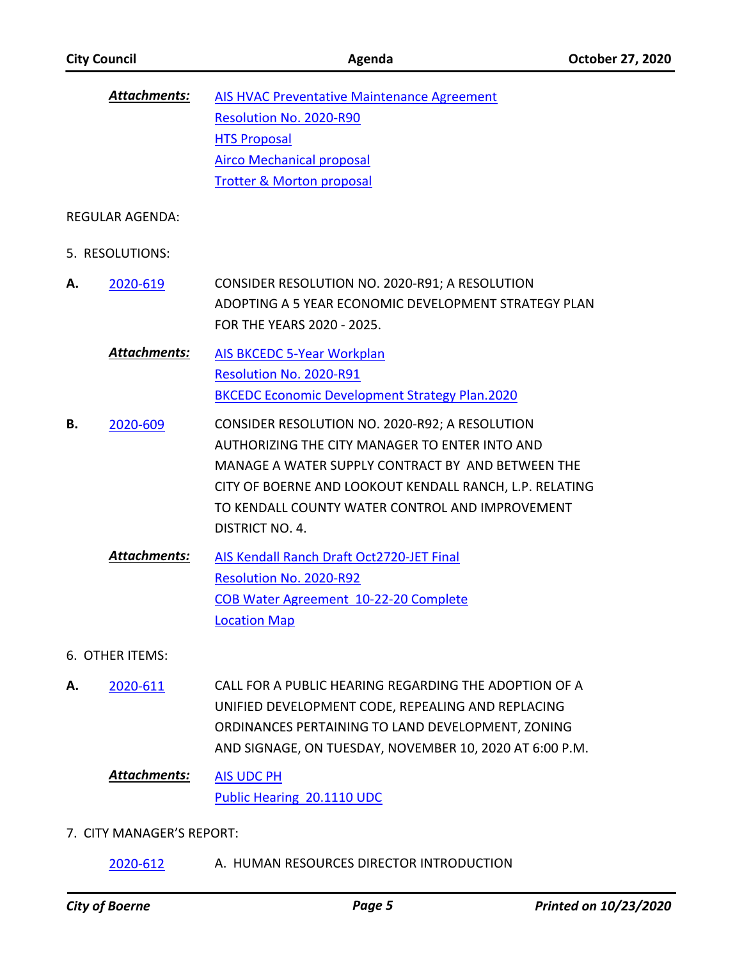|    | <b>Attachments:</b>    | AIS HVAC Preventative Maintenance Agreement                                                                                                                                                                                                                                                   |
|----|------------------------|-----------------------------------------------------------------------------------------------------------------------------------------------------------------------------------------------------------------------------------------------------------------------------------------------|
|    |                        | Resolution No. 2020-R90                                                                                                                                                                                                                                                                       |
|    |                        | <b>HTS Proposal</b>                                                                                                                                                                                                                                                                           |
|    |                        | <b>Airco Mechanical proposal</b>                                                                                                                                                                                                                                                              |
|    |                        | <b>Trotter &amp; Morton proposal</b>                                                                                                                                                                                                                                                          |
|    | <b>REGULAR AGENDA:</b> |                                                                                                                                                                                                                                                                                               |
|    | 5. RESOLUTIONS:        |                                                                                                                                                                                                                                                                                               |
| А. | 2020-619               | CONSIDER RESOLUTION NO. 2020-R91; A RESOLUTION<br>ADOPTING A 5 YEAR ECONOMIC DEVELOPMENT STRATEGY PLAN<br>FOR THE YEARS 2020 - 2025.                                                                                                                                                          |
|    | <b>Attachments:</b>    | <b>AIS BKCEDC 5-Year Workplan</b><br>Resolution No. 2020-R91                                                                                                                                                                                                                                  |
|    |                        | <b>BKCEDC Economic Development Strategy Plan.2020</b>                                                                                                                                                                                                                                         |
| В. | 2020-609               | CONSIDER RESOLUTION NO. 2020-R92; A RESOLUTION<br>AUTHORIZING THE CITY MANAGER TO ENTER INTO AND<br>MANAGE A WATER SUPPLY CONTRACT BY AND BETWEEN THE<br>CITY OF BOERNE AND LOOKOUT KENDALL RANCH, L.P. RELATING<br>TO KENDALL COUNTY WATER CONTROL AND IMPROVEMENT<br><b>DISTRICT NO. 4.</b> |
|    | <b>Attachments:</b>    | AIS Kendall Ranch Draft Oct2720-JET Final<br>Resolution No. 2020-R92<br>COB Water Agreement 10-22-20 Complete<br><b>Location Map</b>                                                                                                                                                          |
|    | 6. OTHER ITEMS:        |                                                                                                                                                                                                                                                                                               |
| А. | 2020-611               | CALL FOR A PUBLIC HEARING REGARDING THE ADOPTION OF A<br>UNIFIED DEVELOPMENT CODE, REPEALING AND REPLACING<br>ORDINANCES PERTAINING TO LAND DEVELOPMENT, ZONING                                                                                                                               |

AND SIGNAGE, ON TUESDAY, NOVEMBER 10, 2020 AT 6:00 P.M.

#### [AIS UDC PH](http://boerne.legistar.com/gateway.aspx?M=F&ID=cbc7dfc1-f4e3-4c18-8ed4-46fc2df62989.docx) *Attachments:*

[Public Hearing 20.1110 UDC](http://boerne.legistar.com/gateway.aspx?M=F&ID=d6a4be4b-7697-404c-9e06-7f4c0170d895.docx)

## 7. CITY MANAGER'S REPORT:

[2020-612](http://boerne.legistar.com/gateway.aspx?m=l&id=/matter.aspx?key=5531) A. HUMAN RESOURCES DIRECTOR INTRODUCTION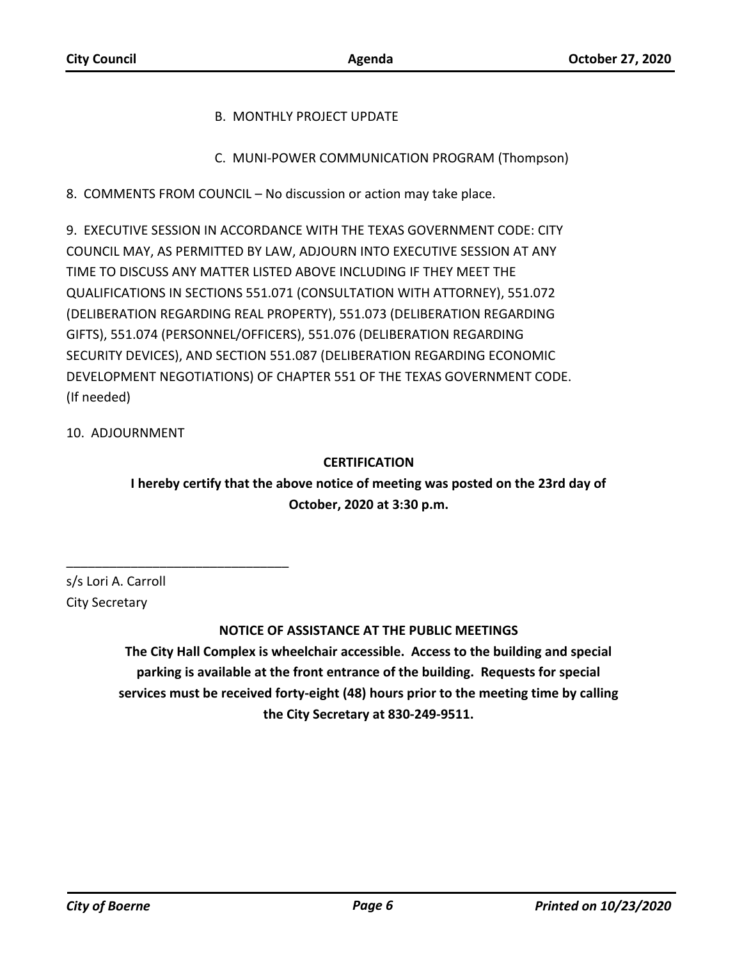## B. MONTHLY PROJECT UPDATE

C. MUNI-POWER COMMUNICATION PROGRAM (Thompson)

8. COMMENTS FROM COUNCIL – No discussion or action may take place.

9. EXECUTIVE SESSION IN ACCORDANCE WITH THE TEXAS GOVERNMENT CODE: CITY COUNCIL MAY, AS PERMITTED BY LAW, ADJOURN INTO EXECUTIVE SESSION AT ANY TIME TO DISCUSS ANY MATTER LISTED ABOVE INCLUDING IF THEY MEET THE QUALIFICATIONS IN SECTIONS 551.071 (CONSULTATION WITH ATTORNEY), 551.072 (DELIBERATION REGARDING REAL PROPERTY), 551.073 (DELIBERATION REGARDING GIFTS), 551.074 (PERSONNEL/OFFICERS), 551.076 (DELIBERATION REGARDING SECURITY DEVICES), AND SECTION 551.087 (DELIBERATION REGARDING ECONOMIC DEVELOPMENT NEGOTIATIONS) OF CHAPTER 551 OF THE TEXAS GOVERNMENT CODE. (If needed)

## 10. ADJOURNMENT

## **CERTIFICATION**

**I hereby certify that the above notice of meeting was posted on the 23rd day of October, 2020 at 3:30 p.m.**

s/s Lori A. Carroll City Secretary

\_\_\_\_\_\_\_\_\_\_\_\_\_\_\_\_\_\_\_\_\_\_\_\_\_\_\_\_\_\_\_

# **NOTICE OF ASSISTANCE AT THE PUBLIC MEETINGS**

**The City Hall Complex is wheelchair accessible. Access to the building and special parking is available at the front entrance of the building. Requests for special services must be received forty-eight (48) hours prior to the meeting time by calling the City Secretary at 830-249-9511.**